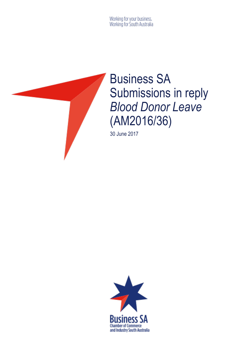Working for your business.<br>Working for South Australia



# Business SA Submissions in reply *Blood Donor Leave*  (AM2016/36)

30 June 2017

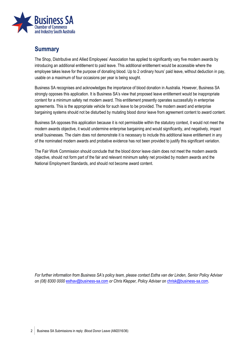

## **Summary**

The Shop, Distributive and Allied Employees' Association has applied to significantly vary five modern awards by introducing an additional entitlement to paid leave. This additional entitlement would be accessible where the employee takes leave for the purpose of donating blood. Up to 2 ordinary hours' paid leave, without deduction in pay, usable on a maximum of four occasions per year is being sought.

Business SA recognises and acknowledges the importance of blood donation in Australia. However, Business SA strongly opposes this application. It is Business SA's view that proposed leave entitlement would be inappropriate content for a minimum safety net modern award. This entitlement presently operates successfully in enterprise agreements. This is the appropriate vehicle for such leave to be provided. The modern award and enterprise bargaining systems should not be disturbed by mutating blood donor leave from agreement content to award content.

Business SA opposes this application because it is not permissible within the statutory context, it would not meet the modern awards objective, it would undermine enterprise bargaining and would significantly, and negatively, impact small businesses. The claim does not demonstrate it is necessary to include this additional leave entitlement in any of the nominated modern awards and probative evidence has not been provided to justify this significant variation.

The Fair Work Commission should conclude that the blood donor leave claim does not meet the modern awards objective, should not form part of the fair and relevant minimum safety net provided by modern awards and the National Employment Standards, and should not become award content.

*For further information from Business SA's policy team, please contact Estha van der Linden, Senior Policy Adviser on (08) 8300 0000* [esthav@business-sa.com](mailto:esthav@business-sa.com) *or Chris Klepper, Policy Adviser on* [chrisk@business-sa.com.](mailto:chrisk@business-sa.com)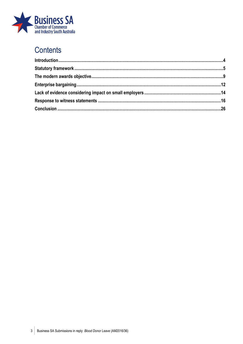

## **Contents**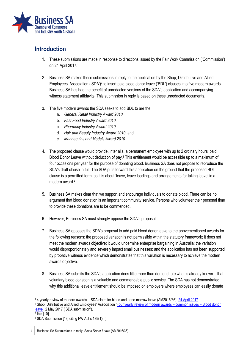

## <span id="page-3-0"></span>**Introduction**

- 1. These submissions are made in response to directions issued by the Fair Work Commission ('Commission') on 24 April 2017.<sup>1</sup>
- 2. Business SA makes these submissions in reply to the application by the Shop, Distributive and Allied Employees' Association ('SDA')<sup>2</sup> to insert paid blood donor leave ('BDL') clauses into five modern awards. Business SA has had the benefit of unredacted versions of the SDA's application and accompanying witness statement affidavits. This submission in reply is based on these unredacted documents.
- 3. The five modern awards the SDA seeks to add BDL to are the:
	- a. *General Retail Industry Award 2010*;
	- b. *Fast Food Industry Award 2010*;
	- c. *Pharmacy Industry Award 2010*;
	- d. *Hair and Beauty Industry Award 2010*; and
	- e. *Mannequins and Models Award 2010*.
- 4. The proposed clause would provide, inter alia, a permanent employee with up to 2 ordinary hours' paid Blood Donor Leave without deduction of pay.<sup>3</sup> This entitlement would be accessible up to a maximum of four occasions per year for the purpose of donating blood. Business SA does not propose to reproduce the SDA's draft clause in full. The SDA puts forward this application on the ground that the proposed BDL clause is a permitted term, as it is about 'leave, leave loadings and arrangements for taking leave' in a modern award.<sup>4</sup>
- 5. Business SA makes clear that we support and encourage individuals to donate blood. There can be no argument that blood donation is an important community service. Persons who volunteer their personal time to provide these donations are to be commended.
- 6. However, Business SA must strongly oppose the SDA's proposal.
- 7. Business SA opposes the SDA's proposal to add paid blood donor leave to the abovementioned awards for the following reasons: the proposed variation is not permissible within the statutory framework; it does not meet the modern awards objective; it would undermine enterprise bargaining in Australia; the variation would disproportionately and severely impact small businesses; and the application has not been supported by probative witness evidence which demonstrates that this variation is necessary to achieve the modern awards objective.
- 8. Business SA submits the SDA's application does little more than demonstrate what is already known that voluntary blood donation is a valuable and commendable public service. The SDA has not demonstrated why this additional leave entitlement should be imposed on employers where employees can easily donate

- <sup>2</sup> Shop, Distributive and Allied Employees' Association '[Four yearly review of modern awards](https://www.fwc.gov.au/documents/sites/awardsmodernfouryr/am201636-sub-sda-020517.pdf)  common issues Blood donor [leave](https://www.fwc.gov.au/documents/sites/awardsmodernfouryr/am201636-sub-sda-020517.pdf)', 2 May 2017 ('SDA submission').
- 3 Ibid [10].

<sup>1</sup> <sup>1</sup> 4 yearly review of modern awards – SDA claim for blood and bone marrow leave (AM2016/36)[, 24 April 2017.](https://www.fwc.gov.au/documents/sites/awardsmodernfouryr/nol-160117-36-further-amendment.pdf)

<sup>4</sup> SDA Submission [13] citing FW Act s 139(1)(h).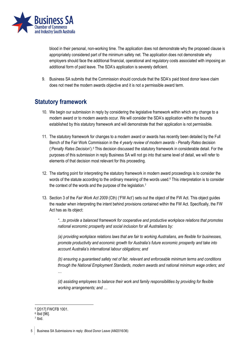

blood in their personal, non-working time. The application does not demonstrate why the proposed clause is appropriately considered part of the minimum safety net. The application does not demonstrate why employers should face the additional financial, operational and regulatory costs associated with imposing an additional form of paid leave. The SDA's application is severely deficient.

9. Business SA submits that the Commission should conclude that the SDA's paid blood donor leave claim does not meet the modern awards objective and it is not a permissible award term.

## <span id="page-4-0"></span>**Statutory framework**

- 10. We begin our submission in reply by considering the legislative framework within which any change to a modern award or to modern awards occur. We will consider the SDA's application within the bounds established by this statutory framework and will demonstrate that their application is not permissible.
- 11. The statutory framework for changes to a modern award or awards has recently been detailed by the Full Bench of the Fair Work Commission in the *4 yearly review of modern awards - Penalty Rates* decision ('*Penalty Rates Decision*').<sup>5</sup> This decision discussed the statutory framework in considerable detail. For the purposes of this submission in reply Business SA will not go into that same level of detail, we will refer to elements of that decision most relevant for this proceeding.
- 12. The starting point for interpreting the statutory framework in modern award proceedings is to consider the words of the statute according to the ordinary meaning of the words used.<sup>6</sup> This interpretation is to consider the context of the words and the purpose of the legislation.<sup>7</sup>
- 13. Section 3 of the *Fair Work Act 2009* (Cth) ('FW Act') sets out the object of the FW Act. This object guides the reader when interpreting the intent behind provisions contained within the FW Act. Specifically, the FW Act has as its object:

*"…to provide a balanced framework for cooperative and productive workplace relations that promotes national economic prosperity and social inclusion for all Australians by:* 

*(a) providing workplace relations laws that are fair to working Australians, are flexible for businesses, promote productivity and economic growth for Australia's future economic prosperity and take into account Australia's international labour obligations; and* 

*(b) ensuring a guaranteed safety net of fair, relevant and enforceable minimum terms and conditions through the National Employment Standards, modern awards and national minimum wage orders; and …* 

*(d) assisting employees to balance their work and family responsibilities by providing for flexible working arrangements; and …* 

<sup>1</sup> 5 [2017] FWCFB 1001.

<sup>6</sup> Ibid [96].

<sup>7</sup> Ibid.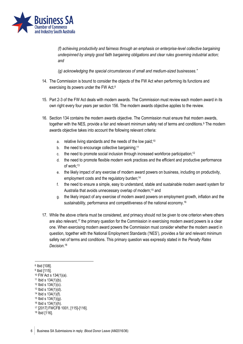

*(f) achieving productivity and fairness through an emphasis on enterprise-level collective bargaining underpinned by simply good faith bargaining obligations and clear rules governing industrial action; and* 

*(g) acknowledging the special circumstances of small and medium-sized businesses."*

- 14. The Commission is bound to consider the objects of the FW Act when performing its functions and exercising its powers under the FW Act.<sup>8</sup>
- 15. Part 2-3 of the FW Act deals with modern awards. The Commission must review each modern award in its own right every four years per section 156. The modern awards objective applies to the review.
- 16. Section 134 contains the modern awards objective. The Commission must ensure that modern awards, together with the NES, provide a fair and relevant minimum safety net of terms and conditions. <sup>9</sup> The modern awards objective takes into account the following relevant criteria:
	- a. relative living standards and the needs of the low paid;<sup>10</sup>
	- b. the need to encourage collective bargaining;<sup>11</sup>
	- c. the need to promote social inclusion through increased workforce participation;<sup>12</sup>
	- d. the need to promote flexible modern work practices and the efficient and productive performance of work; 13
	- e. the likely impact of any exercise of modern award powers on business, including on productivity, employment costs and the regulatory burden; 14
	- f. the need to ensure a simple, easy to understand, stable and sustainable modern award system for Australia that avoids unnecessary overlap of modern; <sup>15</sup> and
	- g. the likely impact of any exercise of modern award powers on employment growth, inflation and the sustainability, performance and competitiveness of the national economy. 16
- 17. While the above criteria must be considered, and primacy should not be given to one criterion where others are also relevant, <sup>17</sup> the primary question for the Commission in exercising modern award powers is a clear one. When exercising modern award powers the Commission must consider whether the modern award in question, together with the National Employment Standards ('NES'), provides a fair and relevant minimum safety net of terms and conditions. This primary question was expressly stated in the *Penalty Rates Decision*. 18

<u>.</u>

- <sup>11</sup> Ibid s 134(1)(b).
- <sup>12</sup> Ibid s 134(1)(c).

<sup>8</sup> Ibid [108].

<sup>9</sup> Ibid [115].

<sup>10</sup> FW Act s 134(1)(a).

<sup>13</sup> Ibid s 134(1)(d).

<sup>14</sup> Ibid s 134(1)(f).

<sup>15</sup> Ibid s 134(1)(g).

<sup>16</sup> Ibid s 134(1)(h).

<sup>17</sup> [2017] FWCFB 1001, [115]-[116].

<sup>18</sup> Ibid [116].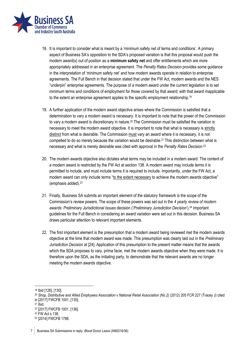

- 18. It is important to consider what is meant by a 'minimum safety net of terms and conditions'. A primary aspect of Business SA's opposition to the SDA's proposed variation is that this proposal would push the modern award(s) out of position as a **minimum safety net** and offer entitlements which are more appropriately addressed in an enterprise agreement. The *Penalty Rates Decision* provides some guidance in the interpretation of 'minimum safety net' and how modern awards operate in relation to enterprise agreements. The Full Bench in that decision stated that under the FW Act, modern awards and the NES "underpin" enterprise agreements. The purpose of a modern award under the current legislation is to set minimum terms and conditions of employment for those covered by that award; with that award inapplicable to the extent an enterprise agreement applies to the specific employment relationship.<sup>19</sup>
- 19. A further application of the modern award objective arises where the Commission is satisfied that a determination to vary a modern award is necessary. It is important to note that the power of the Commission to vary a modern award is discretionary in nature.<sup>20</sup> The Commission must be satisfied the variation is necessary to meet the modern award objective. It is important to note that what is necessary is strictly distinct from what is desirable. The Commission must vary an award where it is necessary, it is not compelled to do so merely because the variation would be desirable.<sup>21</sup> This distinction between what is necessary and what is merely desirable was cited with approval in the *Penalty Rates Decision*. 22
- 20. The modern awards objective also dictates what terms may be included in a modern award. The content of a modern award is restricted by the FW Act at section 138. A modern award may include terms it is permitted to include, and must include terms it is required to include. Importantly, under the FW Act, a modern award can only include terms "to the extent necessary to achieve the modern awards objective" (emphasis added).<sup>23</sup>
- 21. Finally, Business SA submits an important element of the statutory framework is the scope of the Commission's review powers. The scope of these powers was set out in the *4 yearly review of modern awards: Preliminary Jurisdictional Issues* decision ('*Preliminary Jurisdiction Decision*').<sup>24</sup> Important guidelines for the Full Bench in considering an award variation were set out in this decision. Business SA draws particular attention to relevant important elements.
- 22. The first important element is the presumption that a modern award being reviewed met the modern awards objective at the time that modern award was made. This presumption was clearly laid out in the *Preliminary Jurisdiction Decision* at [24]. Application of this presumption to the present matter means that the awards which the SDA proposes to vary, prima facie, met the modern awards objective when they were made. It is therefore upon the SDA, as the initiating party, to demonstrate that the relevant awards are no longer meeting the modern awards objective.

<u>.</u>

<sup>19</sup> Ibid [126], [130].

<sup>20</sup> *Shop, Distributive and Allied Employees Association v National Retail Association (No.2)* (2012) 205 FCR 227 (Tracey J) cited in [2017] FWCFB 1001, [135].

<sup>21</sup> Ibid.

<sup>22</sup> [2017] FWCFB 1001, [136].

<sup>23</sup> FW Act s 138.

<sup>24</sup> [2014] FWCFB 1788.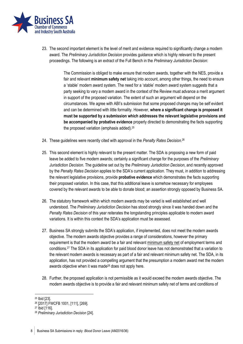

23. The second important element is the level of merit and evidence required to significantly change a modern award. The *Preliminary Jurisdiction Decision* provides guidance which is highly relevant to the present proceedings. The following is an extract of the Full Bench in the *Preliminary Jurisdiction Decision*:

> The Commission is obliged to make ensure that modern awards, together with the NES, provide a fair and relevant **minimum safety net** taking into account, among other things, the need to ensure a 'stable' modern award system. The need for a 'stable' modern award system suggests that a party seeking to vary a modern award in the context of the Review must advance a merit argument in support of the proposed variation. The extent of such an argument will depend on the circumstances. We agree with ABI's submission that some proposed changes may be self evident and can be determined with little formality. However, **where a significant change is proposed it must be supported by a submission which addresses the relevant legislative provisions and be accompanied by probative evidence** properly directed to demonstrating the facts supporting the proposed variation (emphasis added).<sup>25</sup>

- 24. These guidelines were recently cited with approval in the *Penalty Rates Decision*. 26
- 25. This second element is highly relevant to the present matter. The SDA is proposing a new form of paid leave be added to five modern awards; certainly a significant change for the purposes of the *Preliminary Jurisdiction Decision*. The guideline set out by the *Preliminary Jurisdiction Decision*, and recently approved by the *Penalty Rates Decision* applies to the SDA's current application. They must, in addition to addressing the relevant legislative provisions, provide **probative evidence** which demonstrates the facts supporting their proposed variation. In this case, that this additional leave is somehow necessary for employees covered by the relevant awards to be able to donate blood; an assertion strongly opposed by Business SA.
- 26. The statutory framework within which modern awards may be varied is well established and well understood. The *Preliminary Jurisdiction Decision* has stood strongly since it was handed down and the *Penalty Rates Decision* of this year reiterates the longstanding principles applicable to modern award variations. It is within this context the SDA's application must be assessed.
- 27. Business SA strongly submits the SDA's application, if implemented, does not meet the modern awards objective. The modern awards objective provides a range of considerations, however the primary requirement is that the modern award be a fair and relevant minimum safety net of employment terms and conditions.<sup>27</sup> The SDA in its application for paid blood donor leave has not demonstrated that a variation to the relevant modern awards is necessary as part of a fair and relevant minimum safety net. The SDA, in its application, has not provided a compelling argument that the presumption a modern award met the modern awards objective when it was made<sup>28</sup> does not apply here.
- 28. Further, the proposed application is not permissible as it would exceed the modern awards objective. The modern awards objective is to provide a fair and relevant minimum safety net of terms and conditions of

<sup>25</sup> Ibid [23].

<sup>26</sup> [2017] FWCFB 1001, [111], [269].

<sup>27</sup> Ibid [116].

<sup>28</sup> *Preliminary Jurisdiction Decision* [24].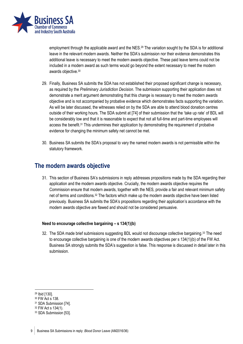

employment through the applicable award and the NES.<sup>29</sup> The variation sought by the SDA is for additional leave in the relevant modern awards. Neither the SDA's submission nor their evidence demonstrates this additional leave is necessary to meet the modern awards objective. These paid leave terms could not be included in a modern award as such terms would go beyond the extent necessary to meet the modern awards objective.<sup>30</sup>

- 29. Finally, Business SA submits the SDA has not established their proposed significant change is necessary, as required by the *Preliminary Jurisdiction Decision*. The submission supporting their application does not demonstrate a merit argument demonstrating that this change is necessary to meet the modern awards objective and is not accompanied by probative evidence which demonstrates facts supporting the variation. As will be later discussed, the witnesses relied on by the SDA are able to attend blood donation centres outside of their working hours. The SDA submit at [74] of their submission that the 'take up rate' of BDL will be considerably low and that it is reasonable to expect that not all full-time and part-time employees will access the benefit. <sup>31</sup> This undermines their application by demonstrating the requirement of probative evidence for changing the minimum safety net cannot be met.
- 30. Business SA submits the SDA's proposal to vary the named modern awards is not permissible within the statutory framework.

## <span id="page-8-0"></span>**The modern awards objective**

31. This section of Business SA's submissions in reply addresses propositions made by the SDA regarding their application and the modern awards objective. Crucially, the modern awards objective requires the Commission ensure that modern awards, together with the NES, provide a fair and relevant minimum safety net of terms and conditions.<sup>32</sup> The factors which make up the modern awards objective have been listed previously. Business SA submits the SDA's propositions regarding their application's accordance with the modern awards objective are flawed and should not be considered persuasive.

#### **Need to encourage collective bargaining – s 134(1)(b)**

32. The SDA made brief submissions suggesting BDL would not discourage collective bargaining. <sup>33</sup> The need to encourage collective bargaining is one of the modern awards objectives per s 134(1)(b) of the FW Act. Business SA strongly submits the SDA's suggestion is false. This response is discussed in detail later in this submission.

<sup>29</sup> Ibid [130].

<sup>30</sup> FW Act s 138.

<sup>31</sup> SDA Submission [74].

<sup>32</sup> FW Act s 134(1).

<sup>33</sup> SDA Submission [53].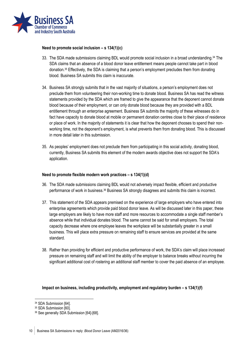

#### **Need to promote social inclusion – s 134(1)(c)**

- 33. The SDA made submissions claiming BDL would promote social inclusion in a broad understanding.<sup>34</sup> The SDA claims that an absence of a blood donor leave entitlement means people cannot take part in blood donation.<sup>35</sup> Effectively, the SDA is claiming that a person's employment precludes them from donating blood. Business SA submits this claim is inaccurate.
- 34. Business SA strongly submits that in the vast majority of situations, a person's employment does not preclude them from volunteering their non-working time to donate blood. Business SA has read the witness statements provided by the SDA which are framed to give the appearance that the deponent cannot donate blood because of their employment, or can only donate blood because they are provided with a BDL entitlement through an enterprise agreement. Business SA submits the majority of these witnesses do in fact have capacity to donate blood at mobile or permanent donation centres close to their place of residence or place of work. In the majority of statements it is clear that how the deponent chooses to spend their nonworking time, not the deponent's employment, is what prevents them from donating blood. This is discussed in more detail later in this submission.
- 35. As peoples' employment does not preclude them from participating in this social activity, donating blood, currently, Business SA submits this element of the modern awards objective does not support the SDA's application.

#### **Need to promote flexible modern work practices – s 134(1)(d)**

- 36. The SDA made submissions claiming BDL would not adversely impact flexible, efficient and productive performance of work in business.<sup>36</sup> Business SA strongly disagrees and submits this claim is incorrect.
- 37. This statement of the SDA appears premised on the experience of large employers who have entered into enterprise agreements which provide paid blood donor leave. As will be discussed later in this paper, these large employers are likely to have more staff and more resources to accommodate a single staff member's absence while that individual donates blood. The same cannot be said for small employers. The total capacity decrease where one employee leaves the workplace will be substantially greater in a small business. This will place extra pressure on remaining staff to ensure services are provided at the same standard.
- 38. Rather than providing for efficient and productive performance of work, the SDA's claim will place increased pressure on remaining staff and will limit the ability of the employer to balance breaks without incurring the significant additional cost of rostering an additional staff member to cover the paid absence of an employee.

#### **Impact on business, including productivity, employment and regulatory burden – s 134(1)(f)**

<sup>34</sup> SDA Submission [64].

<sup>35</sup> SDA Submission [60].

<sup>36</sup> See generally SDA Submission [64]-[68].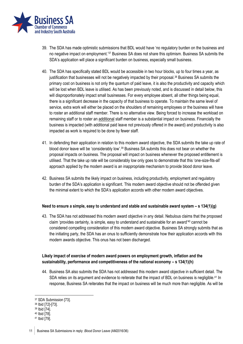

- 39. The SDA has made optimistic submissions that BDL would have 'no regulatory burden on the business and no negative impact on employment.<sup>37</sup> Business SA does not share this optimism. Business SA submits the SDA's application will place a significant burden on business, especially small business.
- 40. The SDA has specifically stated BDL would be accessible in two hour blocks, up to four times a year, as justification that businesses will not be negatively impacted by their proposal.<sup>38</sup> Business SA submits the primary cost on business is not only the quantum of paid leave, it is also the productivity and capacity which will be lost when BDL leave is utilised. As has been previously noted, and is discussed in detail below, this will disproportionately impact small businesses. For every employee absent, all other things being equal, there is a significant decrease in the capacity of that business to operate. To maintain the same level of service, extra work will either be placed on the shoulders of remaining employees or the business will have to roster an additional staff member. There is no alternative view. Being forced to increase the workload on remaining staff or to roster an additional staff member is a substantial impact on business. Financially the business is impacted (with additional paid leave not previously offered in the award) and productivity is also impacted as work is required to be done by fewer staff.
- 41. In defending their application in relation to this modern award objective, the SDA submits the take up rate of blood donor leave will be 'considerably low'.<sup>39</sup> Business SA submits this does not bear on whether the proposal impacts on business. The proposal will impact on business whenever the proposed entitlement is utilised. That the take up rate will be considerably low only goes to demonstrate that this 'one-size-fits-all' approach applied by the modern award is an inappropriate mechanism to provide blood donor leave.
- 42. Business SA submits the likely impact on business, including productivity, employment and regulatory burden of the SDA's application is significant. This modern award objective should not be offended given the minimal extent to which the SDA's application accords with other modern award objectives.

#### **Need to ensure a simple, easy to understand and stable and sustainable award system – s 134(1)(g)**

43. The SDA has not addressed this modern award objective in any detail. Nebulous claims that the proposed claim 'provides certainty, is simple, easy to understand and sustainable for an award'<sup>40</sup> cannot be considered compelling consideration of this modern award objective. Business SA strongly submits that as the initiating party, the SDA has an onus to sufficiently demonstrate how their application accords with this modern awards objective. This onus has not been discharged.

#### **Likely impact of exercise of modern award powers on employment growth, inflation and the sustainability, performance and competitiveness of the national economy – s 134(1)(h)**

44. Business SA also submits the SDA has not addressed this modern award objective in sufficient detail. The SDA relies on its argument and evidence to reiterate that the impact of BDL on business is negligible.<sup>41</sup> In response, Business SA reiterates that the impact on business will be much more than negligible. As will be

<sup>38</sup> Ibid [72]-[73].

<sup>1</sup> <sup>37</sup> SDA Submission [73].

<sup>39</sup> Ibid [74].

<sup>40</sup> Ibid [78].

<sup>41</sup> Ibid [79].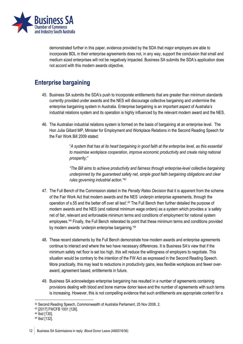

demonstrated further in this paper, evidence provided by the SDA that major employers are able to incorporate BDL in their enterprise agreements does not, in any way, support the conclusion that small and medium sized enterprises will not be negatively impacted. Business SA submits the SDA's application does not accord with this modern awards objective.

## <span id="page-11-0"></span>**Enterprise bargaining**

- 45. Business SA submits the SDA's push to incorporate entitlements that are greater than minimum standards currently provided under awards and the NES will discourage collective bargaining and undermine the enterprise bargaining system in Australia. Enterprise bargaining is an important aspect of Australia's industrial relations system and its operation is highly influenced by the relevant modern award and the NES.
- 46. The Australian industrial relations system is formed on the basis of bargaining at an enterprise level. The Hon Julia Gillard MP, Minister for Employment and Workplace Relations in the Second Reading Speech for the Fair Work Bill 2009 stated:

"*A system that has at its heart bargaining in good faith at the enterprise level, as this essential to maximise workplace cooperation, improve economic productivity and create rising national prosperity;"*

*"The Bill aims to achieve productivity and fairness through enterprise-level collective bargaining underpinned by the guaranteed safety net, simple good faith bargaining obligations and clear rules governing industrial action."<sup>42</sup>*

- 47. The Full Bench of the Commission stated in the *Penalty Rates Decision* that it is apparent from the scheme of the Fair Work Act that modern awards and the NES 'underpin enterprise agreements, through the operation of s.55 and the better off over all test'.<sup>43</sup> The Full Bench then further detailed the purpose of modern awards and the NES (and national minimum wage orders) as a system which provides a 'a safety net of fair, relevant and enforceable minimum terms and conditions of employment for national system employees.'<sup>44</sup> Finally, the Full Bench reiterated its point that these minimum terms and conditions provided by modern awards 'underpin enterprise bargaining.<sup>'45</sup>
- 48. These recent statements by the Full Bench demonstrate how modern awards and enterprise agreements continue to interact and where the two have necessary differences. It is Business SA's view that if the minimum safety net floor is set too high, this will reduce the willingness of employers to negotiate. This situation would be contrary to the intention of the FW Act as expressed in the Second Reading Speech. More practically, this may lead to reductions in productivity gains, less flexible workplaces and fewer overaward, agreement based, entitlements in future.
- 49. Business SA acknowledges enterprise bargaining has resulted in a number of agreements containing provisions dealing with blood and bone marrow donor leave and the number of agreements with such terms is increasing. However, this is not compelling evidence that such entitlements are appropriate content for a

<sup>42</sup> Second Reading Speech, Commonwealth of Australia Parliament, 25 Nov 2008, 2.

<sup>43</sup> [2017] FWCFB 1001 [126].

<sup>44</sup> Ibid [130].

<sup>45</sup> Ibid [132].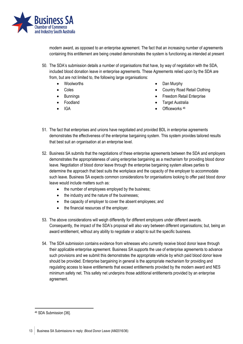

modern award, as opposed to an enterprise agreement. The fact that an increasing number of agreements containing this entitlement are being created demonstrates the system is functioning as intended at present

- 50. The SDA's submission details a number of organisations that have, by way of negotiation with the SDA, included blood donation leave in enterprise agreements. These Agreements relied upon by the SDA are from, but are not limited to, the following large organisations:
	- Woolworths
	- Coles
	- **Bunnings**
	- Foodland
	- IGA
- Dan Murphy
- Country Road Retail Clothing
- Freedom Retail Enterprise
- **Target Australia**
- Officeworks<sup>46</sup>
- 51. The fact that enterprises and unions have negotiated and provided BDL in enterprise agreements demonstrates the effectiveness of the enterprise bargaining system. This system provides tailored results that best suit an organisation at an enterprise level.
- 52. Business SA submits that the negotiations of these enterprise agreements between the SDA and employers demonstrates the appropriateness of using enterprise bargaining as a mechanism for providing blood donor leave. Negotiation of blood donor leave through the enterprise bargaining system allows parties to determine the approach that best suits the workplace and the capacity of the employer to accommodate such leave. Business SA expects common considerations for organisations looking to offer paid blood donor leave would include matters such as:
	- the number of employees employed by the business;
	- the industry and the nature of the businesses;
	- the capacity of employer to cover the absent employees; and
	- the financial resources of the employer.
- 53. The above considerations will weigh differently for different employers under different awards. Consequently, the impact of the SDA's proposal will also vary between different organisations; but, being an award entitlement, without any ability to negotiate or adapt to suit the specific business.
- 54. The SDA submission contains evidence from witnesses who currently receive blood donor leave through their applicable enterprise agreement. Business SA supports the use of enterprise agreements to advance such provisions and we submit this demonstrates the appropriate vehicle by which paid blood donor leave should be provided. Enterprise bargaining in general is the appropriate mechanism for providing and regulating access to leave entitlements that exceed entitlements provided by the modern award and NES minimum safety net. This safety net underpins those additional entitlements provided by an enterprise agreement.

<sup>46</sup> SDA Submission [36].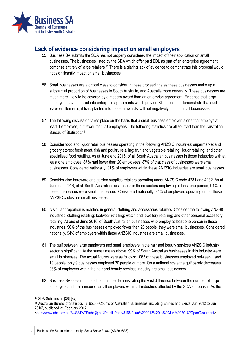

## <span id="page-13-0"></span>**Lack of evidence considering impact on small employers**

- 55. Business SA submits the SDA has not properly considered the impact of their application on small businesses. The businesses listed by the SDA which offer paid BDL as part of an enterprise agreement comprise entirely of large retailers.<sup>47</sup> There is a glaring lack of evidence to demonstrate this proposal would not significantly impact on small businesses.
- 56. Small businesses are a critical class to consider in these proceedings as these businesses make up a substantial proportion of businesses in South Australia, and Australia more generally. These businesses are much more likely to be covered by a modern award than an enterprise agreement. Evidence that large employers have entered into enterprise agreements which provide BDL does not demonstrate that such leave entitlements, if transplanted into modern awards, will not negatively impact small businesses.
- 57. The following discussion takes place on the basis that a small business employer is one that employs at least 1 employee, but fewer than 20 employees. The following statistics are all sourced from the Australian Bureau of Statistics.<sup>48</sup>
- 58. Consider food and liquor retail businesses operating in the following ANZSIC industries: supermarket and grocery stores; fresh meat, fish and poultry retailing; fruit and vegetable retailing; liquor retailing; and other specialised food retailing. As at June end 2016, of all South Australian businesses in those industries with at least one employee, 87% had fewer than 20 employees. 87% of that class of businesses were small businesses. Considered nationally, 91% of employers within these ANZSIC industries are small businesses.
- 59. Consider also hardware and garden supplies retailers operating under ANZSIC code 4231 and 4232. As at June end 2016, of all South Australian businesses in these sectors employing at least one person, 94% of these businesses were small businesses. Considered nationally, 94% of employers operating under these ANZSIC codes are small businesses.
- 60. A similar proportion is reached in general clothing and accessories retailers. Consider the following ANZSIC industries: clothing retailing; footwear retailing; watch and jewellery retailing; and other personal accessory retailing. At end of June 2016, of South Australian businesses who employ at least one person in these industries, 96% of the businesses employed fewer than 20 people; they were small businesses. Considered nationally, 94% of employers within these ANZSIC industries are small businesses.
- 61. The gulf between large employers and small employers in the hair and beauty services ANZSIC industry sector is significant. At the same time as above, 99% of South Australian businesses in this industry were small businesses. The actual figures were as follows: 1063 of these businesses employed between 1 and 19 people, only 9 businesses employed 20 people or more. On a national scale the gulf barely decreases, 98% of employers within the hair and beauty services industry are small businesses.
- 62. Business SA does not intend to continue demonstrating the vast difference between the number of large employers and the number of small employers within all industries affected by the SDA's proposal. As the

<sup>1</sup> <sup>47</sup> SDA Submission [36]-[37].

<sup>48</sup> Australian Bureau of Statistics, '8165.0 – Counts of Australian Businesses, including Entries and Exists, Jun 2012 to Jun 2016', published 21 February 2017

[<sup>&</sup>lt;http://www.abs.gov.au/AUSSTATS/abs@.nsf/DetailsPage/8165.0Jun%202012%20to%20Jun%202016?OpenDocument>](http://www.abs.gov.au/AUSSTATS/abs@.nsf/DetailsPage/8165.0Jun%202012%20to%20Jun%202016?OpenDocument).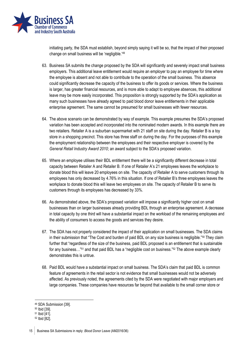

initiating party, the SDA must establish, beyond simply saying it will be so, that the impact of their proposed change on small business will be 'negligible.'<sup>49</sup>

- 63. Business SA submits the change proposed by the SDA will significantly and severely impact small business employers. This additional leave entitlement would require an employer to pay an employee for time where the employee is absent and not able to contribute to the operation of the small business. This absence could significantly decrease the capacity of the business to offer its goods or services. Where the business is larger, has greater financial resources, and is more able to adapt to employee absences, this additional leave may be more easily incorporated. This proposition is strongly supported by the SDA's application as many such businesses have already agreed to paid blood donor leave entitlements in their applicable enterprise agreement. The same cannot be presumed for small businesses with fewer resources.
- 64. The above scenario can be demonstrated by way of example. This example presumes the SDA's proposed variation has been accepted and incorporated into the nominated modern awards. In this example there are two retailers. Retailer A is a suburban supermarket with 21 staff on site during the day. Retailer B is a toy store in a shopping precinct. This store has three staff on during the day. For the purposes of this example the employment relationship between the employees and their respective employer is covered by the *General Retail Industry Award 2010*; an award subject to the SDA's proposed variation.
- 65. Where an employee utilises their BDL entitlement there will be a significantly different decrease in total capacity between Retailer A and Retailer B. If one of Retailer A's 21 employees leaves the workplace to donate blood this will leave 20 employees on site. The capacity of Retailer A to serve customers through its employees has only decreased by 4.76% in this situation. If one of Retailer B's three employees leaves the workplace to donate blood this will leave two employees on site. The capacity of Retailer B to serve its customers through its employees has decreased by 33%.
- 66. As demonstrated above, the SDA's proposed variation will impose a significantly higher cost on small businesses than on larger businesses already providing BDL through an enterprise agreement. A decrease in total capacity by one third will have a substantial impact on the workload of the remaining employees and the ability of consumers to access the goods and services they desire.
- 67. The SDA has not properly considered the impact of their application on small businesses. The SDA claims in their submission that "The Cost and burden of paid BDL on any size business is negligible."<sup>50</sup> They claim further that "regardless of the size of the business, paid BDL proposed is an entitlement that is sustainable for any business…"<sup>51</sup> and that paid BDL has a "negligible cost on business."<sup>52</sup> The above example clearly demonstrates this is untrue.
- 68. Paid BDL would have a substantial impact on small business. The SDA's claim that paid BDL is common feature of agreements in the retail sector is not evidence that small businesses would not be adversely affected. As previously noted, the agreements cited by the SDA were negotiated with major employers and large companies. These companies have resources far beyond that available to the small corner store or

<sup>49</sup> SDA Submission [39].

<sup>50</sup> Ibid [39].

<sup>51</sup> Ibid [41].

<sup>52</sup> Ibid [82].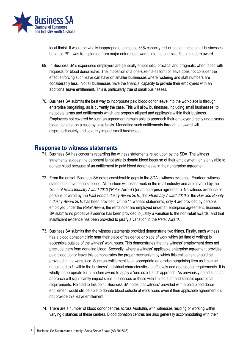

local florist. It would be wholly inappropriate to impose 33% capacity reductions on these small businesses because PDL was transplanted from major enterprise awards into the one-size-fits-all modern award.

- 69. In Business SA's experience employers are generally empathetic, practical and pragmatic when faced with requests for blood donor leave. The imposition of a one-size-fits-all form of leave does not consider the effect enforcing such leave can have on smaller businesses where rostering and staff numbers are considerably less. Not all businesses have the financial capacity to provide their employees with an additional leave entitlement. This is particularly true of small businesses.
- 70. Business SA submits the best way to incorporate paid blood donor leave into the workplace is through enterprise bargaining, as is currently the case. This will allow businesses, including small businesses, to negotiate terms and entitlements which are properly aligned and applicable within their business. Employees not covered by such an agreement remain able to approach their employer directly and discuss blood donation on a case by case basis. Mandating such entitlements through an award will disproportionately and severely impact small businesses.

### <span id="page-15-0"></span>**Response to witness statements**

- 71. Business SA has concerns regarding the witness statements relied upon by the SDA. The witness statements suggest the deponent is not able to donate blood because of their employment, or is only able to donate blood because of an entitlement to paid blood donor leave in their enterprise agreement.
- 72. From the outset, Business SA notes considerable gaps in the SDA's witness evidence. Fourteen witness statements have been supplied. All fourteen witnesses work in the retail industry and are covered by the *General Retail Industry Award 2010* ('*Retail Award*') (or an enterprise agreement). No witness evidence of persons covered by the *Fast Food Industry Award 2010*, the *Pharmacy Award 2010* or the *Hair and Beauty Industry Award 2010* has been provided. Of the 14 witness statements, only 4 are provided by persons employed under the *Retail Award*, the remainder are employed under an enterprise agreement. Business SA submits no probative evidence has been provided to justify a variation to the non-retail awards, and that insufficient evidence has been provided to justify a variation to the *Retail Award*.
- 73. Business SA submits that the witness statements provided demonstrate two things. Firstly, each witness has a blood donation clinic near their place of residence or place of work which (at time of writing) is accessible outside of the witness' work hours. This demonstrates that the witness' employment does not preclude them from donating blood. Secondly, where a witness' applicable enterprise agreement provides paid blood donor leave this demonstrates the proper mechanism by which this entitlement should be provided in the workplace. Such an entitlement is an appropriate enterprise bargaining item as it can be negotiated to fit within the business' individual characteristics, staff levels and operational requirements. It is wholly inappropriate for a modern award to apply a 'one size fits all' approach. As previously noted such an approach will significantly impact small businesses or those with limited staff and specific operational requirements. Related to this point, Business SA notes that witness' provided with a paid blood donor entitlement would still be able to donate blood outside of work hours even if their applicable agreement did not provide this leave entitlement.
- 74. There are a number of blood donor centres across Australia, with witnesses residing or working within varying distances of these centres. Blood donation centres are also generally accommodating with their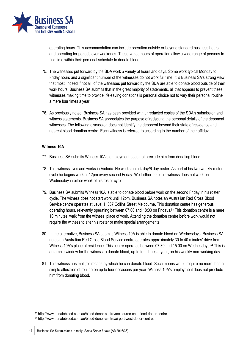

operating hours. This accommodation can include operation outside or beyond standard business hours and operating for periods over weekends. These varied hours of operation allow a wide range of persons to find time within their personal schedule to donate blood.

- 75. The witnesses put forward by the SDA work a variety of hours and days. Some work typical Monday to Friday hours and a significant number of the witnesses do not work full time. It is Business SA's strong view that most, indeed if not all, of the witnesses put forward by the SDA are able to donate blood outside of their work hours. Business SA submits that in the great majority of statements, all that appears to prevent these witnesses making time to provide life-saving donations is personal choice not to vary their personal routine a mere four times a year.
- 76. As previously noted, Business SA has been provided with unredacted copies of the SDA's submission and witness statements. Business SA appreciates the purpose of redacting the personal details of the deponent witnesses. The following discussion does not identify the deponent beyond their state of residence and nearest blood donation centre. Each witness is referred to according to the number of their affidavit.

#### **Witness 10A**

- 77. Business SA submits Witness 10A's employment does not preclude him from donating blood.
- 78. This witness lives and works in Victoria. He works on a 4 day/6 day roster. As part of his two-weekly roster cycle he begins work at 12pm every second Friday. We further note this witness does not work on Wednesday in either week of his roster cycle.
- 79. Business SA submits Witness 10A is able to donate blood before work on the second Friday in his roster cycle. The witness does not start work until 12pm. Business SA notes an Australian Red Cross Blood Service centre operates at Level 1, 367 Collins Street Melbourne. This donation centre has generous operating hours, relevantly operating between 07:00 and 18:00 on Fridays.<sup>53</sup> This donation centre is a mere 10 minutes' walk from the witness' place of work. Attending the donation centre before work would not require the witness to alter his roster or make special arrangements.
- 80. In the alternative, Business SA submits Witness 10A is able to donate blood on Wednesdays. Business SA notes an Australian Red Cross Blood Service centre operates approximately 30 to 40 minutes' drive from Witness 10A's place of residence. This centre operates between 07:30 and 15:00 on Wednesdays.<sup>54</sup> This is an ample window for the witness to donate blood, up to four times a year, on his weekly non-working day.
- 81. This witness has multiple means by which he can donate blood. Such means would require no more than a simple alteration of routine on up to four occasions per year. Witness 10A's employment does not preclude him from donating blood.

-

<sup>53</sup> http://www.donateblood.com.au/blood-donor-centre/melbourne-cbd-blood-donor-centre.

<sup>54</sup> http://www.donateblood.com.au/blood-donor-centre/airport-west-donor-centre.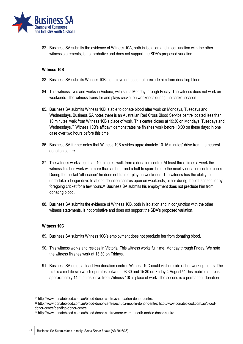

82. Business SA submits the evidence of Witness 10A, both in isolation and in conjunction with the other witness statements, is not probative and does not support the SDA's proposed variation.

#### **Witness 10B**

- 83. Business SA submits Witness 10B's employment does not preclude him from donating blood.
- 84. This witness lives and works in Victoria, with shifts Monday through Friday. The witness does not work on weekends. The witness trains for and plays cricket on weekends during the cricket season.
- 85. Business SA submits Witness 10B is able to donate blood after work on Mondays, Tuesdays and Wednesdays. Business SA notes there is an Australian Red Cross Blood Service centre located less than 10 minutes' walk from Witness 10B's place of work. This centre closes at 19:30 on Mondays, Tuesdays and Wednesdays.<sup>55</sup> Witness 10B's affidavit demonstrates he finishes work before 18:00 on these days; in one case over two hours before this time.
- 86. Business SA further notes that Witness 10B resides approximately 10-15 minutes' drive from the nearest donation centre.
- 87. The witness works less than 10 minutes' walk from a donation centre. At least three times a week the witness finishes work with more than an hour and a half to spare before the nearby donation centre closes. During the cricket 'off-season' he does not train or play on weekends. The witness has the ability to undertake a longer drive to attend donation centres open on weekends, either during the 'off-season' or by foregoing cricket for a few hours.<sup>56</sup> Business SA submits his employment does not preclude him from donating blood.
- 88. Business SA submits the evidence of Witness 10B, both in isolation and in conjunction with the other witness statements, is not probative and does not support the SDA's proposed variation.

#### **Witness 10C**

- 89. Business SA submits Witness 10C's employment does not preclude her from donating blood.
- 90. This witness works and resides in Victoria. This witness works full time, Monday through Friday. We note the witness finishes work at 13:30 on Fridays.
- 91. Business SA notes at least two donation centres Witness 10C could visit outside of her working hours. The first is a mobile site which operates between 08:30 and 15:30 on Friday 4 August.<sup>57</sup> This mobile centre is approximately 14 minutes' drive from Witness 10C's place of work. The second is a permanent donation

<sup>55</sup> http://www.donateblood.com.au/blood-donor-centre/shepparton-donor-centre.

<sup>56</sup> http://www.donateblood.com.au/blood-donor-centre/echuca-mobile-donor-centre; http://www.donateblood.com.au/blooddonor-centre/bendigo-donor-centre.

<sup>57</sup> http://www.donateblood.com.au/blood-donor-centre/narre-warren-north-mobile-donor-centre.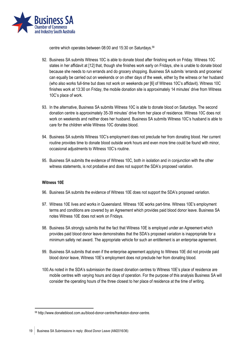

centre which operates between 08:00 and 15:30 on Saturdays.<sup>58</sup>

- 92. Business SA submits Witness 10C is able to donate blood after finishing work on Friday. Witness 10C states in her affidavit at [12] that, though she finishes work early on Fridays, she is unable to donate blood because she needs to run errands and do grocery shopping. Business SA submits 'errands and groceries' can equally be carried out on weekends or on other days of the week, either by the witness or her husband (who also works full-time but does not work on weekends per [6] of Witness 10C's affidavit). Witness 10C finishes work at 13:30 on Friday, the mobile donation site is approximately 14 minutes' drive from Witness 10C's place of work.
- 93. In the alternative, Business SA submits Witness 10C is able to donate blood on Saturdays. The second donation centre is approximately 35-39 minutes' drive from her place of residence. Witness 10C does not work on weekends and neither does her husband. Business SA submits Witness 10C's husband is able to care for the children while Witness 10C donates blood.
- 94. Business SA submits Witness 10C's employment does not preclude her from donating blood. Her current routine provides time to donate blood outside work hours and even more time could be found with minor, occasional adjustments to Witness 10C's routine.
- 95. Business SA submits the evidence of Witness 10C, both in isolation and in conjunction with the other witness statements, is not probative and does not support the SDA's proposed variation.

#### **Witness 10E**

- 96. Business SA submits the evidence of Witness 10E does not support the SDA's proposed variation.
- 97. Witness 10E lives and works in Queensland. Witness 10E works part-time. Witness 10E's employment terms and conditions are covered by an Agreement which provides paid blood donor leave. Business SA notes Witness 10E does not work on Fridays.
- 98. Business SA strongly submits that the fact that Witness 10E is employed under an Agreement which provides paid blood donor leave demonstrates that the SDA's proposed variation is inappropriate for a minimum safety net award. The appropriate vehicle for such an entitlement is an enterprise agreement.
- 99. Business SA submits that even if the enterprise agreement applying to Witness 10E did not provide paid blood donor leave, Witness 10E's employment does not preclude her from donating blood.
- 100.As noted in the SDA's submission the closest donation centres to Witness 10E's place of residence are mobile centres with varying hours and days of operation. For the purpose of this analysis Business SA will consider the operating hours of the three closest to her place of residence at the time of writing.

<sup>58</sup> http://www.donateblood.com.au/blood-donor-centre/frankston-donor-centre.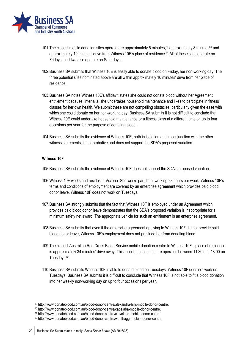

- 101. The closest mobile donation sites operate are approximately 5 minutes,<sup>59</sup> approximately 8 minutes<sup>60</sup> and approximately 10 minutes' drive from Witness 10E's place of residence. <sup>61</sup> All of these sites operate on Fridays, and two also operate on Saturdays.
- 102.Business SA submits that Witness 10E is easily able to donate blood on Friday, her non-working day. The three potential sites nominated above are all within approximately 10 minutes' drive from her place of residence.
- 103.Business SA notes Witness 10E's affidavit states she could not donate blood without her Agreement entitlement because, inter alia, she undertakes household maintenance and likes to participate in fitness classes for her own health. We submit these are not compelling obstacles, particularly given the ease with which she could donate on her non-working day. Business SA submits it is not difficult to conclude that Witness 10E could undertake household maintenance or a fitness class at a different time on up to four occasions per year for the purpose of donating blood.
- 104.Business SA submits the evidence of Witness 10E, both in isolation and in conjunction with the other witness statements, is not probative and does not support the SDA's proposed variation.

#### **Witness 10F**

- 105.Business SA submits the evidence of Witness 10F does not support the SDA's proposed variation.
- 106.Witness 10F works and resides in Victoria. She works part-time, working 28 hours per week. Witness 10F's terms and conditions of employment are covered by an enterprise agreement which provides paid blood donor leave. Witness 10F does not work on Tuesdays.
- 107.Business SA strongly submits that the fact that Witness 10F is employed under an Agreement which provides paid blood donor leave demonstrates that the SDA's proposed variation is inappropriate for a minimum safety net award. The appropriate vehicle for such an entitlement is an enterprise agreement.
- 108.Business SA submits that even if the enterprise agreement applying to Witness 10F did not provide paid blood donor leave, Witness 10F's employment does not preclude her from donating blood.
- 109.The closest Australian Red Cross Blood Service mobile donation centre to Witness 10F's place of residence is approximately 34 minutes' drive away. This mobile donation centre operates between 11:30 and 18:00 on Tuesdays.<sup>62</sup>
- 110.Business SA submits Witness 10F is able to donate blood on Tuesdays. Witness 10F does not work on Tuesdays. Business SA submits it is difficult to conclude that Witness 10F is not able to fit a blood donation into her weekly non-working day on up to four occasions per year.

<sup>59</sup> http://www.donateblood.com.au/blood-donor-centre/alexandra-hills-mobile-donor-centre.

<sup>60</sup> http://www.donateblood.com.au/blood-donor-centre/capalaba-mobile-donor-centre.

<sup>61</sup> http://www.donateblood.com.au/blood-donor-centre/cleveland-mobile-donor-centre.

<sup>62</sup> http://www.donateblood.com.au/blood-donor-centre/wonthaggi-mobile-donor-centre.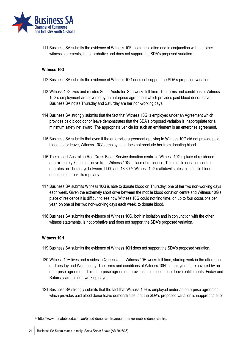

111.Business SA submits the evidence of Witness 10F, both in isolation and in conjunction with the other witness statements, is not probative and does not support the SDA's proposed variation.

#### **Witness 10G**

- 112.Business SA submits the evidence of Witness 10G does not support the SDA's proposed variation.
- 113.Witness 10G lives and resides South Australia. She works full-time. The terms and conditions of Witness 10G's employment are covered by an enterprise agreement which provides paid blood donor leave. Business SA notes Thursday and Saturday are her non-working days.
- 114.Business SA strongly submits that the fact that Witness 10G is employed under an Agreement which provides paid blood donor leave demonstrates that the SDA's proposed variation is inappropriate for a minimum safety net award. The appropriate vehicle for such an entitlement is an enterprise agreement.
- 115.Business SA submits that even if the enterprise agreement applying to Witness 10G did not provide paid blood donor leave, Witness 10G's employment does not preclude her from donating blood.
- 116.The closest Australian Red Cross Blood Service donation centre to Witness 10G's place of residence approximately 7 minutes' drive from Witness 10G's place of residence. This mobile donation centre operates on Thursdays between 11:00 and 18:30.<sup>63</sup> Witness 10G's affidavit states this mobile blood donation centre visits regularly.
- 117.Business SA submits Witness 10G is able to donate blood on Thursday, one of her two non-working days each week. Given the extremely short drive between the mobile blood donation centre and Witness 10G's place of residence it is difficult to see how Witness 10G could not find time, on up to four occasions per year, on one of her two non-working days each week, to donate blood.
- 118.Business SA submits the evidence of Witness 10G, both in isolation and in conjunction with the other witness statements, is not probative and does not support the SDA's proposed variation.

#### **Witness 10H**

- 119.Business SA submits the evidence of Witness 10H does not support the SDA's proposed variation.
- 120.Witness 10H lives and resides in Queensland. Witness 10H works full-time, starting work in the afternoon on Tuesday and Wednesday. The terms and conditions of Witness 10H's employment are covered by an enterprise agreement. This enterprise agreement provides paid blood donor leave entitlements. Friday and Saturday are his non-working days.
- 121.Business SA strongly submits that the fact that Witness 10H is employed under an enterprise agreement which provides paid blood donor leave demonstrates that the SDA's proposed variation is inappropriate for

<sup>63</sup> http://www.donateblood.com.au/blood-donor-centre/mount-barker-mobile-donor-centre.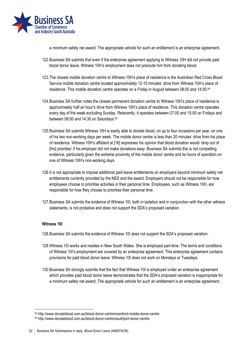

a minimum safety net award. The appropriate vehicle for such an entitlement is an enterprise agreement.

- 122.Business SA submits that even if the enterprise agreement applying to Witness 10H did not provide paid blood donor leave, Witness 10H's employment does not preclude him from donating blood.
- 123.The closest mobile donation centre to Witness 10H's place of residence is the Australian Red Cross Blood Service mobile donation centre located approximately 12-15 minutes' drive from Witness 10H's place of residence. This mobile donation centre operates on a Friday in August between 08:00 and 14:00.<sup>64</sup>
- 124.Business SA further notes the closest permanent donation centre to Witness 10H's place of residence is approximately half an hour's drive from Witness 10H's place of residence. This donation centre operates every day of the week excluding Sunday. Relevantly, it operates between 07:00 and 15:00 on Fridays and between 08:00 and 14:30 on Saturdays.<sup>65</sup>
- 125.Business SA submits Witness 10H is easily able to donate blood, on up to four occasions per year, on one of his two non-working days per week. The mobile donor centre is less than 20 minutes' drive from his place of residence. Witness 10H's affidavit at [16] expresses his opinion that blood donation would 'drop out of [his] priorities' if his employer did not make donations easy. Business SA submits this is not compelling evidence, particularly given the extreme proximity of the mobile donor centre and its hours of operation on one of Witness 10H's non-working days.
- 126.It is not appropriate to impose additional paid leave entitlements on employers beyond minimum safety net entitlements currently provided by the NES and the award. Employers should not be responsible for how employees choose to prioritise activities in their personal time. Employees, such as Witness 10H, are responsible for how they choose to prioritise their personal time.
- 127.Business SA submits the evidence of Witness 10I, both in isolation and in conjunction with the other witness statements, is not probative and does not support the SDA's proposed variation.

#### **Witness 10I**

-

- 128.Business SA submits the evidence of Witness 10I does not support the SDA's proposed variation.
- 129.Witness 10I works and resides in New South Wales. She is employed part-time. The terms and conditions of Witness 10I's employment are covered by an enterprise agreement. This enterprise agreement contains provisions for paid blood donor leave. Witness 10I does not work on Mondays or Tuesdays.
- 130.Business SA strongly submits that the fact that Witness 10I is employed under an enterprise agreement which provides paid blood donor leave demonstrates that the SDA's proposed variation is inappropriate for a minimum safety net award. The appropriate vehicle for such an entitlement is an enterprise agreement.

<sup>64</sup> http://www.donateblood.com.au/blood-donor-centre/oxenford-mobile-donor-centre.

<sup>65</sup> http://www.donateblood.com.au/blood-donor-centre/southport-donor-centre.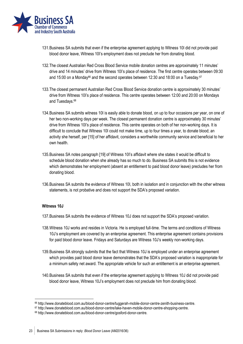

- 131.Business SA submits that even if the enterprise agreement applying to Witness 10I did not provide paid blood donor leave, Witness 10I's employment does not preclude her from donating blood.
- 132.The closest Australian Red Cross Blood Service mobile donation centres are approximately 11 minutes' drive and 14 minutes' drive from Witness 10I's place of residence. The first centre operates between 09:30 and 15:00 on a Monday<sup>66</sup> and the second operates between 12:30 and 18:00 on a Tuesday.<sup>67</sup>
- 133.The closest permanent Australian Red Cross Blood Service donation centre is approximately 30 minutes' drive from Witness 10I's place of residence. This centre operates between 12:00 and 20:00 on Mondays and Tuesdays.<sup>68</sup>
- 134.Business SA submits witness 10I is easily able to donate blood, on up to four occasions per year, on one of her two non-working days per week. The closest permanent donation centre is approximately 30 minutes' drive from Witness 10I's place of residence. This centre operates on both of her non-working days. It is difficult to conclude that Witness 10I could not make time, up to four times a year, to donate blood; an activity she herself, per [15] of her affidavit, considers a worthwhile community service and beneficial to her own health.
- 135.Business SA notes paragraph [19] of Witness 10I's affidavit where she states it would be difficult to schedule blood donation when she already has so much to do. Business SA submits this is not evidence which demonstrates her employment (absent an entitlement to paid blood donor leave) precludes her from donating blood.
- 136.Business SA submits the evidence of Witness 10I, both in isolation and in conjunction with the other witness statements, is not probative and does not support the SDA's proposed variation.

#### **Witness 10J**

- 137.Business SA submits the evidence of Witness 10J does not support the SDA's proposed variation.
- 138.Witness 10J works and resides in Victoria. He is employed full-time. The terms and conditions of Witness 10J's employment are covered by an enterprise agreement. This enterprise agreement contains provisions for paid blood donor leave. Fridays and Saturdays are Witness 10J's weekly non-working days.
- 139.Business SA strongly submits that the fact that Witness 10J is employed under an enterprise agreement which provides paid blood donor leave demonstrates that the SDA's proposed variation is inappropriate for a minimum safety net award. The appropriate vehicle for such an entitlement is an enterprise agreement.
- 140.Business SA submits that even if the enterprise agreement applying to Witness 10J did not provide paid blood donor leave, Witness 10J's employment does not preclude him from donating blood.

<sup>66</sup> http://www.donateblood.com.au/blood-donor-centre/tuggerah-mobile-donor-centre-zenith-business-centre.

<sup>67</sup> http://www.donateblood.com.au/blood-donor-centre/lake-haven-mobile-donor-centre-shopping-centre.

<sup>68</sup> http://www.donateblood.com.au/blood-donor-centre/gosford-donor-centre.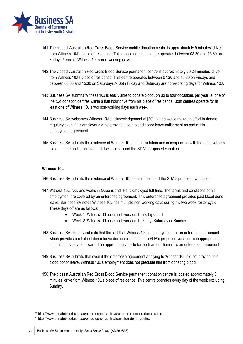

- 141.The closest Australian Red Cross Blood Service mobile donation centre is approximately 9 minutes' drive from Witness 10J's place of residence. This mobile donation centre operates between 08:30 and 15:30 on Fridays; <sup>69</sup> one of Witness 10J's non-working days.
- 142.The closest Australian Red Cross Blood Service permanent centre is approximately 20-24 minutes' drive from Witness 10J's place of residence. This centre operates between 07:30 and 15:30 on Fridays and between 08:00 and 15:30 on Saturdays.<sup>70</sup> Both Friday and Saturday are non-working days for Witness 10J.
- 143.Business SA submits Witness 10J is easily able to donate blood, on up to four occasions per year, at one of the two donation centres within a half hour drive from his place of residence. Both centres operate for at least one of Witness 10J's two non-working days each week.
- 144.Business SA welcomes Witness 10J's acknowledgement at [20] that he would make an effort to donate regularly even if his employer did not provide a paid blood donor leave entitlement as part of his employment agreement.
- 145.Business SA submits the evidence of Witness 10I, both in isolation and in conjunction with the other witness statements, is not probative and does not support the SDA's proposed variation.

#### **Witness 10L**

-

- 146.Business SA submits the evidence of Witness 10L does not support the SDA's proposed variation.
- 147.Witness 10L lives and works in Queensland. He is employed full-time. The terms and conditions of his employment are covered by an enterprise agreement. This enterprise agreement provides paid blood donor leave. Business SA notes Witness 10L has multiple non-working days during his two week roster cycle. These days off are as follows:
	- Week 1: Witness 10L does not work on Thursdays; and
	- Week 2: Witness 10L does not work on Tuesday, Saturday or Sunday.
- 148.Business SA strongly submits that the fact that Witness 10L is employed under an enterprise agreement which provides paid blood donor leave demonstrates that the SDA's proposed variation is inappropriate for a minimum safety net award. The appropriate vehicle for such an entitlement is an enterprise agreement.
- 149.Business SA submits that even if the enterprise agreement applying to Witness 10L did not provide paid blood donor leave, Witness 10L's employment does not preclude him from donating blood.
- 150.The closest Australian Red Cross Blood Service permanent donation centre is located approximately 8 minutes' drive from Witness 10L's place of residence. This centre operates every day of the week excluding Sunday.

<sup>69</sup> http://www.donateblood.com.au/blood-donor-centre/cranbourne-mobile-donor-centre.

<sup>70</sup> http://www.donateblood.com.au/blood-donor-centre/frankston-donor-centre.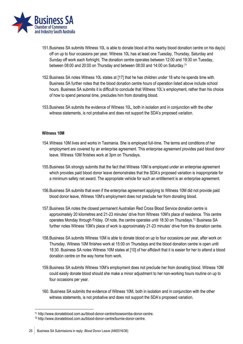

- 151.Business SA submits Witness 10L is able to donate blood at this nearby blood donation centre on his day(s) off on up to four occasions per year. Witness 10L has at least one Tuesday, Thursday, Saturday and Sunday off work each fortnight. The donation centre operates between 12:00 and 19:30 on Tuesday, between 08:00 and 20:00 on Thursday and between 08:00 and 14:00 on Saturday.<sup>71</sup>
- 152.Business SA notes Witness 10L states at [17] that he has children under 18 who he spends time with. Business SA further notes that the blood donation centre hours of operation listed above include school hours. Business SA submits it is difficult to conclude that Witness 10L's employment, rather than his choice of how to spend personal time, precludes him from donating blood.
- 153.Business SA submits the evidence of Witness 10L, both in isolation and in conjunction with the other witness statements, is not probative and does not support the SDA's proposed variation.

#### **Witness 10M**

- 154.Witness 10M lives and works in Tasmania. She is employed full-time. The terms and conditions of her employment are covered by an enterprise agreement. This enterprise agreement provides paid blood donor leave. Witness 10M finishes work at 3pm on Thursdays.
- 155.Business SA strongly submits that the fact that Witness 10M is employed under an enterprise agreement which provides paid blood donor leave demonstrates that the SDA's proposed variation is inappropriate for a minimum safety net award. The appropriate vehicle for such an entitlement is an enterprise agreement.
- 156.Business SA submits that even if the enterprise agreement applying to Witness 10M did not provide paid blood donor leave, Witness 10M's employment does not preclude her from donating blood.
- 157.Business SA notes the closest permanent Australian Red Cross Blood Service donation centre is approximately 20 kilometres and 21-23 minutes' drive from Witness 10M's place of residence. This centre operates Monday through Friday. Of note, the centre operates until 18:30 on Thursdays.<sup>72</sup> Business SA further notes Witness 10M's place of work is approximately 21-23 minutes' drive from this donation centre.
- 158.Business SA submits Witness 10M is able to donate blood on up to four occasions per year, after work on Thursday. Witness 10M finishes work at 15:00 on Thursdays and the blood donation centre is open until 18:30. Business SA notes Witness 10M states at [10] of her affidavit that it is easier for her to attend a blood donation centre on the way home from work.
- 159.Business SA submits Witness 10M's employment does not preclude her from donating blood. Witness 10M could easily donate blood should she make a minor adjustment to her non-working hours routine on up to four occasions per year.
- 160. Business SA submits the evidence of Witness 10M, both in isolation and in conjunction with the other witness statements, is not probative and does not support the SDA's proposed variation.

-

<sup>71</sup> http://www.donateblood.com.au/blood-donor-centre/toowoomba-donor-centre.

<sup>72</sup> http://www.donateblood.com.au/blood-donor-centre/burnie-donor-centre.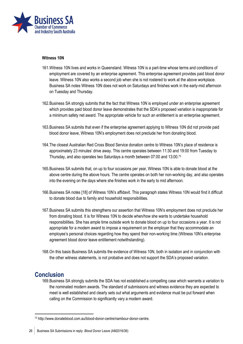

#### **Witness 10N**

- 161.Witness 10N lives and works in Queensland. Witness 10N is a part-time whose terms and conditions of employment are covered by an enterprise agreement. This enterprise agreement provides paid blood donor leave. Witness 10N also works a second job when she is not rostered to work at the above workplace. Business SA notes Witness 10N does not work on Saturdays and finishes work in the early-mid afternoon on Tuesday and Thursday.
- 162.Business SA strongly submits that the fact that Witness 10N is employed under an enterprise agreement which provides paid blood donor leave demonstrates that the SDA's proposed variation is inappropriate for a minimum safety net award. The appropriate vehicle for such an entitlement is an enterprise agreement.
- 163.Business SA submits that even if the enterprise agreement applying to Witness 10N did not provide paid blood donor leave, Witness 10N's employment does not preclude her from donating blood.
- 164.The closest Australian Red Cross Blood Service donation centre to Witness 10N's place of residence is approximately 23 minutes' drive away. This centre operates between 11:30 and 19:00 from Tuesday to Thursday, and also operates two Saturdays a month between 07:00 and 13:00.<sup>73</sup>
- 165.Business SA submits that, on up to four occasions per year, Witness 10N is able to donate blood at the above centre during the above hours. The centre operates on both her non-working day, and also operates into the evening on the days where she finishes work in the early to mid afternoon.
- 166.Business SA notes [18] of Witness 10N's affidavit. This paragraph states Witness 10N would find it difficult to donate blood due to family and household responsibilities.
- 167.Business SA submits this strengthens our assertion that Witness 10N's employment does not preclude her from donating blood. It is for Witness 10N to decide when/how she wants to undertake household responsibilities. She has ample time outside work to donate blood on up to four occasions a year. It is not appropriate for a modern award to impose a requirement on the employer that they accommodate an employee's personal choices regarding how they spend their non-working time (Witness 10N's enterprise agreement blood donor leave entitlement notwithstanding).
- 168.On this basis Business SA submits the evidence of Witness 10N, both in isolation and in conjunction with the other witness statements, is not probative and does not support the SDA's proposed variation.

## <span id="page-25-0"></span>**Conclusion**

1

169.Business SA strongly submits the SDA has not established a compelling case which warrants a variation to the nominated modern awards. The standard of submissions and witness evidence they are expected to meet is well established and clearly sets out what arguments and evidence must be put forward when calling on the Commission to significantly vary a modern award.

26 Business SA Submissions in reply: *Blood Donor Leave* (AM2016/36)

<sup>73</sup> http://www.donateblood.com.au/blood-donor-centre/nambour-donor-centre.